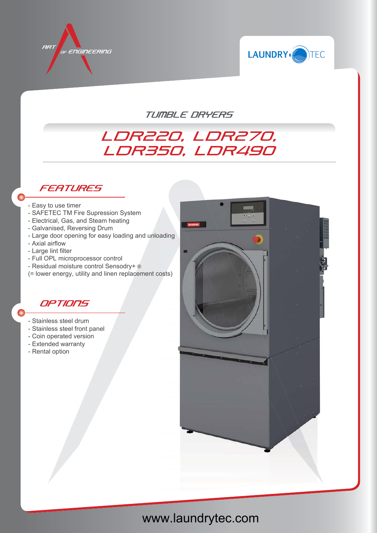



TUMBLE DRYERS

## LDR220, LDR270, LDR350, LDR490

## **FEATURES**

- Easy to use timer
- SAFETEC TM Fire Supression System
- Electrical, Gas, and Steam heating
- Galvanised, Reversing Drum
- Large door opening for easy loading and unloading
- Axial airflow
- Large lint filter
- Full OPL microprocessor control
- Residual moisture control Sensodry+ ®
- (= lower energy, utility and linen replacement costs)

## OPTIONS

- Stainless steel drum
- Stainless steel front panel
- Coin operated version
- Extended warranty
- Rental option



## www.laundrytec.com